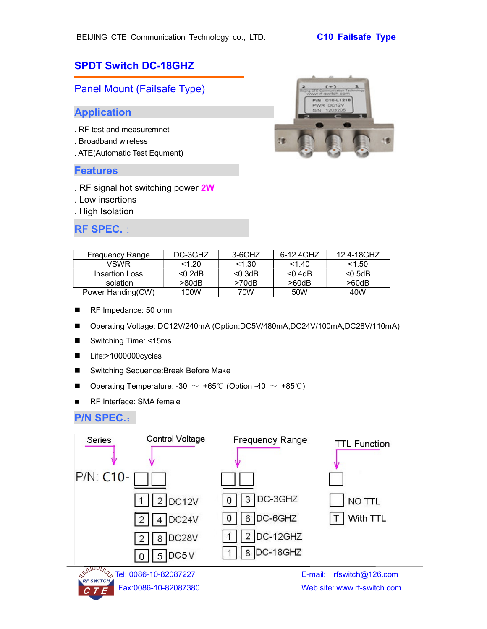# SPDT Switch DC-18GHZ

Panel Mount (Failsafe Type)

#### Application

- . RF test and measuremnet
- . Broadband wireless
- . ATE(Automatic Test Equment)

#### Features

- . RF signal hot switching power 2W
- . Low insertions
- . High Isolation

## RF SPEC.:



| Frequency Range   | DC-3GHZ    | 3-6GHZ     | 6-12.4GHZ   | 12.4-18GHZ |
|-------------------|------------|------------|-------------|------------|
| <b>VSWR</b>       | 1.20       | <1.30      | 1.40        | <1.50      |
| Insertion Loss    | $< 0.2$ dB | $< 0.3$ dB | $<$ 0.4dB   | < 0.5dB    |
| <b>Isolation</b>  | >80dB      | >70dB      | $>60$ d $B$ | >60dB      |
| Power Handing(CW) | 100W       | 70W        | 50W         | 40W        |

- RF Impedance: 50 ohm
- Operating Voltage: DC12V/240mA (Option:DC5V/480mA,DC24V/100mA,DC28V/110mA)
- Switching Time: <15ms
- Life:>1000000cycles
- Switching Sequence:Break Before Make
- **■** Operating Temperature: -30  $\sim$  +65℃ (Option -40  $\sim$  +85℃)
- RF Interface: SMA female

### P/N SPEC.:



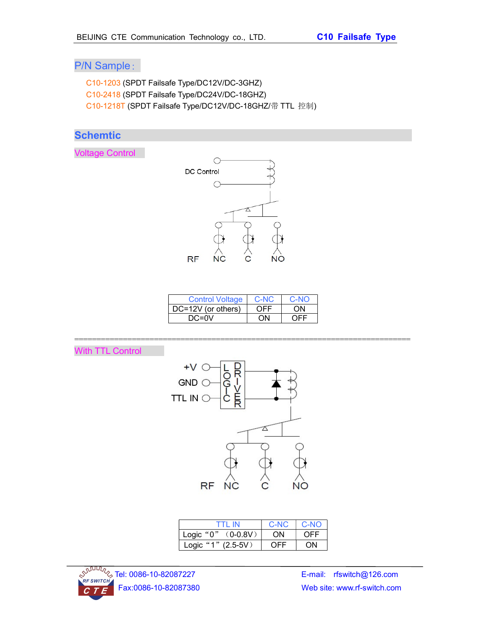# P/N Sample:

C10-1203 (SPDT Failsafe Type/DC12V/DC-3GHZ) C10-2418 (SPDT Failsafe Type/DC24V/DC-18GHZ) C10-1218T (SPDT Failsafe Type/DC12V/DC-18GHZ/带 TTL 控制)

# **Schemtic**

Voltage Control



| <b>Control Voltage</b> | C-NC | $C-NO$ |
|------------------------|------|--------|
| DC=12V (or others)     | OFF  | ΩN     |
| $DC=0V$                | ωN   | OFF    |

============================================================================

# With TTL Control



| TTI IN                   | C-NC | $\mathsf{C}\text{-}\mathsf{NO}$ |
|--------------------------|------|---------------------------------|
| Logic " $0$ " $(0-0.8V)$ | ON   | OFF                             |
| Logic "1" (2.5-5V)       | OFF  | ON                              |